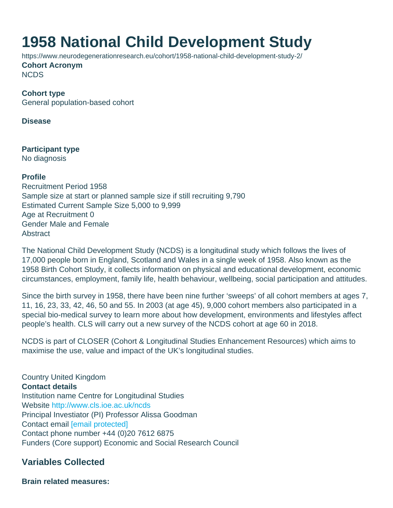# 1958 National Child Development Study

https://www.neurodegenerationresearch.eu/cohort/1958-national-child-development-study-2/ Cohort Acronym **NCDS** 

Cohort type General population-based cohort

Disease

Participant type No diagnosis

Profile Recruitment Period 1958 Sample size at start or planned sample size if still recruiting 9,790 Estimated Current Sample Size 5,000 to 9,999 Age at Recruitment 0 Gender Male and Female **Abstract** 

The National Child Development Study (NCDS) is a longitudinal study which follows the lives of 17,000 people born in England, Scotland and Wales in a single week of 1958. Also known as the 1958 Birth Cohort Study, it collects information on physical and educational development, economic circumstances, employment, family life, health behaviour, wellbeing, social participation and attitudes.

Since the birth survey in 1958, there have been nine further 'sweeps' of all cohort members at ages 7, 11, 16, 23, 33, 42, 46, 50 and 55. In 2003 (at age 45), 9,000 cohort members also participated in a special bio-medical survey to learn more about how development, environments and lifestyles affect people's health. CLS will carry out a new survey of the NCDS cohort at age 60 in 2018.

NCDS is part of CLOSER (Cohort & Longitudinal Studies Enhancement Resources) which aims to maximise the use, value and impact of the UK's longitudinal studies.

Country United Kingdom Contact details Institution name Centre for Longitudinal Studies Website [http://www.cls.ioe.ac.uk/ncds](http://www.cls.ioe.ac.uk/ncds ) Principal Investiator (PI) Professor Alissa Goodman Contact email [\[email protected\]](/cdn-cgi/l/email-protection#e6c6858a95808383828487858da68f8983c88785c8938dc6) Contact phone number +44 (0)20 7612 6875 Funders (Core support) Economic and Social Research Council

Variables Collected

Brain related measures: